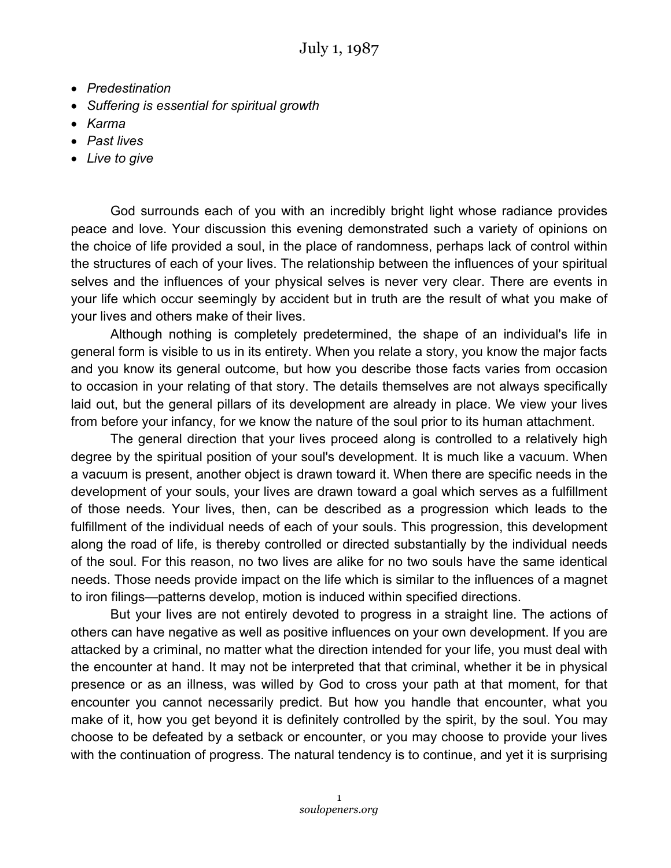- *Predestination*
- *Suffering is essential for spiritual growth*
- *Karma*
- *Past lives*
- *Live to give*

God surrounds each of you with an incredibly bright light whose radiance provides peace and love. Your discussion this evening demonstrated such a variety of opinions on the choice of life provided a soul, in the place of randomness, perhaps lack of control within the structures of each of your lives. The relationship between the influences of your spiritual selves and the influences of your physical selves is never very clear. There are events in your life which occur seemingly by accident but in truth are the result of what you make of your lives and others make of their lives.

Although nothing is completely predetermined, the shape of an individual's life in general form is visible to us in its entirety. When you relate a story, you know the major facts and you know its general outcome, but how you describe those facts varies from occasion to occasion in your relating of that story. The details themselves are not always specifically laid out, but the general pillars of its development are already in place. We view your lives from before your infancy, for we know the nature of the soul prior to its human attachment.

The general direction that your lives proceed along is controlled to a relatively high degree by the spiritual position of your soul's development. It is much like a vacuum. When a vacuum is present, another object is drawn toward it. When there are specific needs in the development of your souls, your lives are drawn toward a goal which serves as a fulfillment of those needs. Your lives, then, can be described as a progression which leads to the fulfillment of the individual needs of each of your souls. This progression, this development along the road of life, is thereby controlled or directed substantially by the individual needs of the soul. For this reason, no two lives are alike for no two souls have the same identical needs. Those needs provide impact on the life which is similar to the influences of a magnet to iron filings—patterns develop, motion is induced within specified directions.

But your lives are not entirely devoted to progress in a straight line. The actions of others can have negative as well as positive influences on your own development. If you are attacked by a criminal, no matter what the direction intended for your life, you must deal with the encounter at hand. It may not be interpreted that that criminal, whether it be in physical presence or as an illness, was willed by God to cross your path at that moment, for that encounter you cannot necessarily predict. But how you handle that encounter, what you make of it, how you get beyond it is definitely controlled by the spirit, by the soul. You may choose to be defeated by a setback or encounter, or you may choose to provide your lives with the continuation of progress. The natural tendency is to continue, and yet it is surprising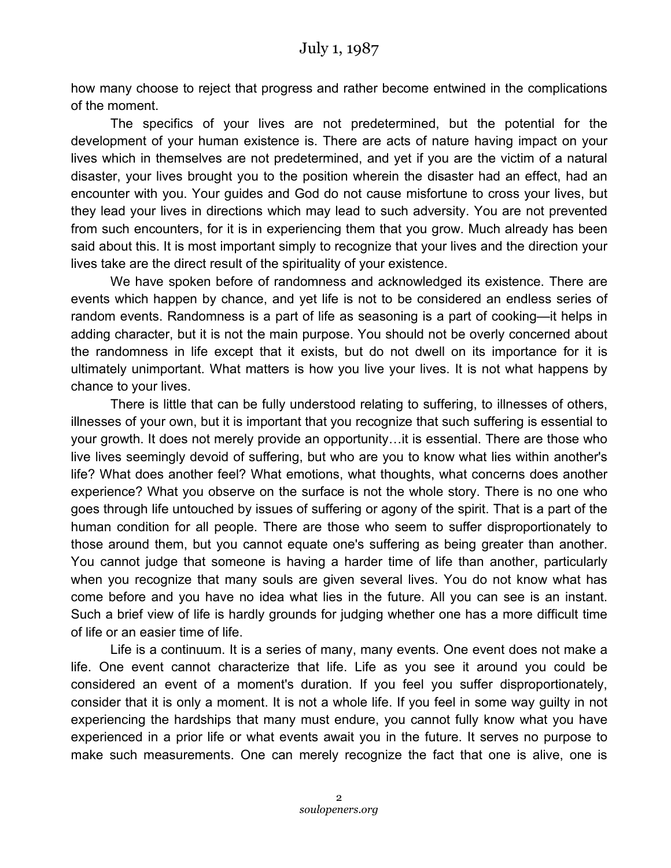how many choose to reject that progress and rather become entwined in the complications of the moment.

The specifics of your lives are not predetermined, but the potential for the development of your human existence is. There are acts of nature having impact on your lives which in themselves are not predetermined, and yet if you are the victim of a natural disaster, your lives brought you to the position wherein the disaster had an effect, had an encounter with you. Your guides and God do not cause misfortune to cross your lives, but they lead your lives in directions which may lead to such adversity. You are not prevented from such encounters, for it is in experiencing them that you grow. Much already has been said about this. It is most important simply to recognize that your lives and the direction your lives take are the direct result of the spirituality of your existence.

We have spoken before of randomness and acknowledged its existence. There are events which happen by chance, and yet life is not to be considered an endless series of random events. Randomness is a part of life as seasoning is a part of cooking—it helps in adding character, but it is not the main purpose. You should not be overly concerned about the randomness in life except that it exists, but do not dwell on its importance for it is ultimately unimportant. What matters is how you live your lives. It is not what happens by chance to your lives.

There is little that can be fully understood relating to suffering, to illnesses of others, illnesses of your own, but it is important that you recognize that such suffering is essential to your growth. It does not merely provide an opportunity…it is essential. There are those who live lives seemingly devoid of suffering, but who are you to know what lies within another's life? What does another feel? What emotions, what thoughts, what concerns does another experience? What you observe on the surface is not the whole story. There is no one who goes through life untouched by issues of suffering or agony of the spirit. That is a part of the human condition for all people. There are those who seem to suffer disproportionately to those around them, but you cannot equate one's suffering as being greater than another. You cannot judge that someone is having a harder time of life than another, particularly when you recognize that many souls are given several lives. You do not know what has come before and you have no idea what lies in the future. All you can see is an instant. Such a brief view of life is hardly grounds for judging whether one has a more difficult time of life or an easier time of life.

Life is a continuum. It is a series of many, many events. One event does not make a life. One event cannot characterize that life. Life as you see it around you could be considered an event of a moment's duration. If you feel you suffer disproportionately, consider that it is only a moment. It is not a whole life. If you feel in some way guilty in not experiencing the hardships that many must endure, you cannot fully know what you have experienced in a prior life or what events await you in the future. It serves no purpose to make such measurements. One can merely recognize the fact that one is alive, one is